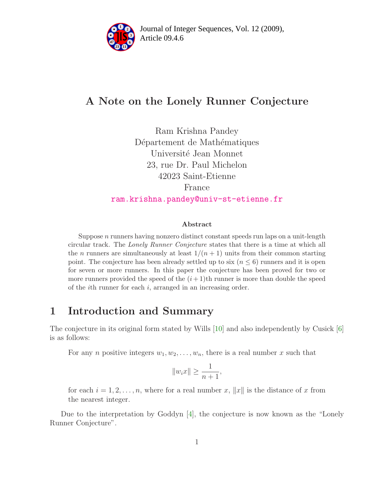

# A Note on the Lonely Runner Conjecture

Ram Krishna Pandey Département de Mathématiques Université Jean Monnet 23, rue Dr. Paul Michelon 42023 Saint-Etienne France [ram.krishna.pandey@univ-st-etienne.fr](mailto:ram.krishna.pandey@univ-st-etienne.fr)

#### Abstract

Suppose  $n$  runners having nonzero distinct constant speeds run laps on a unit-length circular track. The Lonely Runner Conjecture states that there is a time at which all the *n* runners are simultaneously at least  $1/(n+1)$  units from their common starting point. The conjecture has been already settled up to six  $(n \leq 6)$  runners and it is open for seven or more runners. In this paper the conjecture has been proved for two or more runners provided the speed of the  $(i+1)$ th runner is more than double the speed of the ith runner for each i, arranged in an increasing order.

## 1 Introduction and Summary

The conjecture in its original form stated by Wills [\[10\]](#page-3-0) and also independently by Cusick [\[6\]](#page-2-0) is as follows:

For any *n* positive integers  $w_1, w_2, \ldots, w_n$ , there is a real number x such that

$$
||w_ix|| \ge \frac{1}{n+1},
$$

for each  $i = 1, 2, \ldots, n$ , where for a real number x, ||x|| is the distance of x from the nearest integer.

Due to the interpretation by Goddyn [\[4\]](#page-2-1), the conjecture is now known as the "Lonely Runner Conjecture".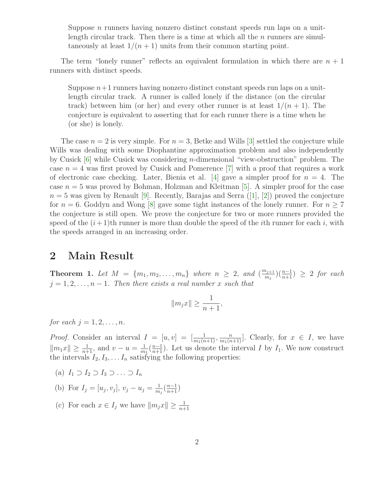Suppose *n* runners having nonzero distinct constant speeds run laps on a unitlength circular track. Then there is a time at which all the  $n$  runners are simultaneously at least  $1/(n+1)$  units from their common starting point.

The term "lonely runner" reflects an equivalent formulation in which there are  $n + 1$ runners with distinct speeds.

Suppose  $n+1$  runners having nonzero distinct constant speeds run laps on a unitlength circular track. A runner is called lonely if the distance (on the circular track) between him (or her) and every other runner is at least  $1/(n + 1)$ . The conjecture is equivalent to asserting that for each runner there is a time when he (or she) is lonely.

The case  $n = 2$  is very simple. For  $n = 3$ , Betke and Wills [\[3\]](#page-2-2) settled the conjecture while Wills was dealing with some Diophantine approximation problem and also independently by Cusick [\[6\]](#page-2-0) while Cusick was considering n-dimensional "view-obstruction" problem. The case  $n = 4$  was first proved by Cusick and Pomerence [\[7\]](#page-2-3) with a proof that requires a work of electronic case checking. Later, Bienia et al. [\[4\]](#page-2-1) gave a simpler proof for  $n = 4$ . The case  $n = 5$  was proved by Bohman, Holzman and Kleitman [\[5\]](#page-2-4). A simpler proof for the case  $n = 5$  was given by Renault [\[9\]](#page-3-1). Recently, Barajas and Serra ([\[1\]](#page-2-5), [\[2\]](#page-2-6)) proved the conjecture for  $n = 6$ . Goddyn and Wong [\[8\]](#page-3-2) gave some tight instances of the lonely runner. For  $n \ge 7$ the conjecture is still open. We prove the conjecture for two or more runners provided the speed of the  $(i+1)$ th runner is more than double the speed of the *i*th runner for each *i*, with the speeds arranged in an increasing order.

### 2 Main Result

**Theorem 1.** Let  $M = \{m_1, m_2, \ldots, m_n\}$  where  $n \geq 2$ , and  $\left(\frac{m_{j+1}}{m_j}\right)$  $\binom{n+1}{m+1} \geq 2$  for each  $j = 1, 2, \ldots, n - 1$ . Then there exists a real number x such that

$$
||m_jx|| \ge \frac{1}{n+1},
$$

for each  $j = 1, 2, \ldots, n$ .

*Proof.* Consider an interval  $I = [u, v] = [\frac{1}{m_1(n+1)}, \frac{n}{m_1(n+1)}]$ . Clearly, for  $x \in I$ , we have  $||m_1x|| \geq \frac{1}{n+1}$ , and  $v - u = \frac{1}{m}$  $\frac{1}{m_1}(\frac{n-1}{n+1})$ . Let us denote the interval I by  $I_1$ . We now construct the intervals  $I_2, I_3, \ldots I_n$  satisfying the following properties:

- (a)  $I_1 \supset I_2 \supset I_3 \supset \ldots \supset I_n$
- (b) For  $I_j = [u_j, v_j], v_j u_j = \frac{1}{m}$  $\frac{1}{m_j}(\frac{n-1}{n+1})$
- (c) For each  $x \in I_j$  we have  $||m_jx|| \geq \frac{1}{n+1}$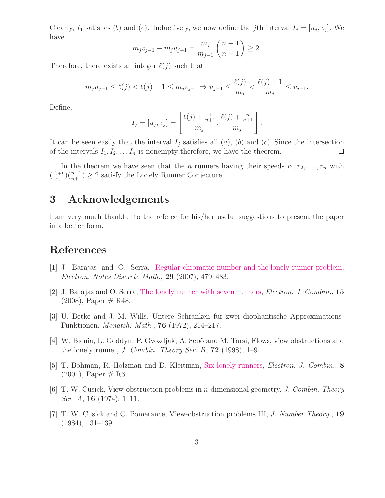Clearly,  $I_1$  satisfies (b) and (c). Inductively, we now define the jth interval  $I_j = [u_j, v_j]$ . We have

$$
m_j v_{j-1} - m_j u_{j-1} = \frac{m_j}{m_{j-1}} \left( \frac{n-1}{n+1} \right) \ge 2.
$$

Therefore, there exists an integer  $\ell(i)$  such that

$$
m_j u_{j-1} \le \ell(j) < \ell(j) + 1 \le m_j v_{j-1} \Rightarrow u_{j-1} \le \frac{\ell(j)}{m_j} < \frac{\ell(j) + 1}{m_j} \le v_{j-1}.
$$

Define,

$$
I_j = [u_j, v_j] = \left[\frac{\ell(j) + \frac{1}{n+1}}{m_j}, \frac{\ell(j) + \frac{n}{n+1}}{m_j}\right]
$$

.

It can be seen easily that the interval  $I_j$  satisfies all  $(a)$ ,  $(b)$  and  $(c)$ . Since the intersection of the intervals  $I_1, I_2, \ldots I_n$  is nonempty therefore, we have the theorem.  $\Box$ 

In the theorem we have seen that the *n* runners having their speeds  $r_1, r_2, \ldots, r_n$  with  $\left(\frac{r_{j+1}}{r_i}\right)$  $\frac{(n-1)}{n+1}$ ) ≥ 2 satisfy the Lonely Runner Conjecture.

### 3 Acknowledgements

I am very much thankful to the referee for his/her useful suggestions to present the paper in a better form.

### <span id="page-2-5"></span>References

- <span id="page-2-6"></span>[1] J. Barajas and O. Serra, [Regular chromatic number and the lonely runner problem,](http://www.sciencedirect.com/science?_ob=MImg&_imagekey=B75GV-4PCHPN5-2R-1&_cdi= 13104&_user=708524&_orig=browse&_coverDate=08%2F15%2F2007&_sk=999709999&view=c&wchp=dGLbVlb-zSkzk&md5= 5edbf93ab4cd12ec0ddabc7c5592f450&ie=/sdarticle.pdf) Electron. Notes Discrete Math., 29 (2007), 479–483.
- [2] J. Barajas and O. Serra, [The lonely runner with seven runners,](http://www.combinatorics.org/Volume_15/PDF/v15i1r48.pdf) Electron. J. Combin., 15  $(2008)$ , Paper  $\#$  R48.
- <span id="page-2-2"></span>[3] U. Betke and J. M. Wills, Untere Schranken für zwei diophantische Approximations-Funktionen, Monatsh. Math., 76 (1972), 214–217.
- <span id="page-2-1"></span>[4] W. Bienia, L. Goddyn, P. Gvozdjak, A. Seb˝o and M. Tarsi, Flows, view obstructions and the lonely runner, J. Combin. Theory Ser. B,  $72$  (1998), 1–9.
- <span id="page-2-4"></span>[5] T. Bohman, R. Holzman and D. Kleitman, [Six lonely runners,](http://www.combinatorics.org/Volume_8/PDF/v8i2r3.pdf) Electron. J. Combin., 8  $(2001)$ , Paper  $\#$  R3.
- <span id="page-2-0"></span>[6] T. W. Cusick, View-obstruction problems in n-dimensional geometry, J. Combin. Theory *Ser. A*, **16** (1974), 1–11.
- <span id="page-2-3"></span>[7] T. W. Cusick and C. Pomerance, View-obstruction problems III, J. Number Theory , 19 (1984), 131–139.